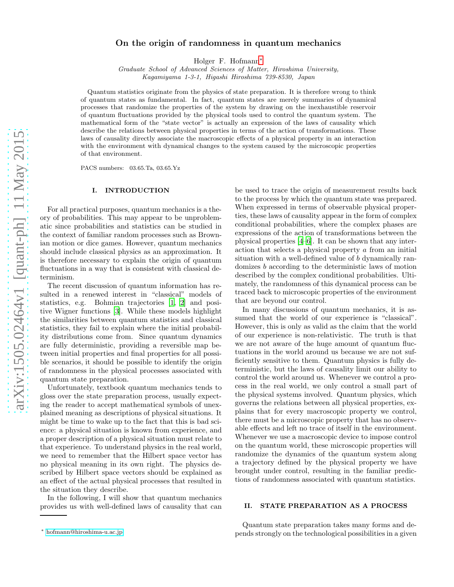# On the origin of randomness in quantum mechanics

Holger F. Hofmann[∗](#page-0-0)

Graduate School of Advanced Sciences of Matter, Hiroshima University, Kagamiyama 1-3-1, Higashi Hiroshima 739-8530, Japan

Quantum statistics originate from the physics of state preparation. It is therefore wrong to think of quantum states as fundamental. In fact, quantum states are merely summaries of dynamical processes that randomize the properties of the system by drawing on the inexhaustible reservoir of quantum fluctuations provided by the physical tools used to control the quantum system. The mathematical form of the "state vector" is actually an expression of the laws of causality which describe the relations between physical properties in terms of the action of transformations. These laws of causality directly associate the macroscopic effects of a physical property in an interaction with the environment with dynamical changes to the system caused by the microscopic properties of that environment.

PACS numbers: 03.65.Ta, 03.65.Yz

#### I. INTRODUCTION

For all practical purposes, quantum mechanics is a theory of probabilities. This may appear to be unproblematic since probabilities and statistics can be studied in the context of familiar random processes such as Brownian motion or dice games. However, quantum mechanics should include classical physics as an approximation. It is therefore necessary to explain the origin of quantum fluctuations in a way that is consistent with classical determinism.

The recent discussion of quantum information has resulted in a renewed interest in "classical" models of statistics, e.g. Bohmian trajectories [\[1,](#page-5-0) [2](#page-5-1)] and positive Wigner functions [\[3](#page-5-2)]. While these models highlight the similarities between quantum statistics and classical statistics, they fail to explain where the initial probability distributions come from. Since quantum dynamics are fully deterministic, providing a reversible map between initial properties and final properties for all possible scenarios, it should be possible to identify the origin of randomness in the physical processes associated with quantum state preparation.

Unfortunately, textbook quantum mechanics tends to gloss over the state preparation process, usually expecting the reader to accept mathematical symbols of unexplained meaning as descriptions of physical situations. It might be time to wake up to the fact that this is bad science: a physical situation is known from experience, and a proper description of a physical situation must relate to that experience. To understand physics in the real world, we need to remember that the Hilbert space vector has no physical meaning in its own right. The physics described by Hilbert space vectors should be explained as an effect of the actual physical processes that resulted in the situation they describe.

In the following, I will show that quantum mechanics provides us with well-defined laws of causality that can

be used to trace the origin of measurement results back to the process by which the quantum state was prepared. When expressed in terms of observable physical properties, these laws of causality appear in the form of complex conditional probabilities, where the complex phases are expressions of the action of transformations between the physical properties [\[4](#page-5-3)[–6\]](#page-5-4). It can be shown that any interaction that selects a physical property a from an initial situation with a well-defined value of b dynamically randomizes b according to the deterministic laws of motion described by the complex conditional probabilities. Ultimately, the randomness of this dynamical process can be traced back to microscopic properties of the environment that are beyond our control.

In many discussions of quantum mechanics, it is assumed that the world of our experience is "classical". However, this is only as valid as the claim that the world of our experience is non-relativistic. The truth is that we are not aware of the huge amount of quantum fluctuations in the world around us because we are not sufficiently sensitive to them. Quantum physics is fully deterministic, but the laws of causality limit our ability to control the world around us. Whenever we control a process in the real world, we only control a small part of the physical systems involved. Quantum physics, which governs the relations between all physical properties, explains that for every macroscopic property we control, there must be a microscopic property that has no observable effects and left no trace of itself in the environment. Whenever we use a macroscopic device to impose control on the quantum world, these microscopic properties will randomize the dynamics of the quantum system along a trajectory defined by the physical property we have brought under control, resulting in the familiar predictions of randomness associated with quantum statistics.

#### II. STATE PREPARATION AS A PROCESS

Quantum state preparation takes many forms and depends strongly on the technological possibilities in a given

<span id="page-0-0"></span><sup>∗</sup> [hofmann@hiroshima-u.ac.jp](mailto:hofmann@hiroshima-u.ac.jp)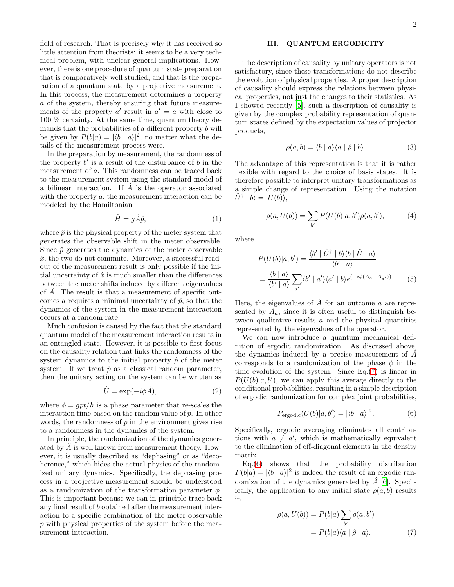field of research. That is precisely why it has received so little attention from theorists: it seems to be a very technical problem, with unclear general implications. However, there is one procedure of quantum state preparation that is comparatively well studied, and that is the preparation of a quantum state by a projective measurement. In this process, the measurement determines a property a of the system, thereby ensuring that future measurements of the property  $a'$  result in  $a' = a$  with close to 100 % certainty. At the same time, quantum theory demands that the probabilities of a different property b will be given by  $P(b|a) = |\langle b | a \rangle|^2$ , no matter what the details of the measurement process were.

In the preparation by measurement, the randomness of the property  $b'$  is a result of the disturbance of  $b$  in the measurement of a. This randomness can be traced back to the measurement system using the standard model of a bilinear interaction. If  $\hat{A}$  is the operator associated with the property a, the measurement interaction can be modeled by the Hamiltonian

$$
\hat{H} = g\hat{A}\hat{p},\tag{1}
$$

where  $\hat{p}$  is the physical property of the meter system that generates the observable shift in the meter observable. Since  $\hat{p}$  generates the dynamics of the meter observable  $\hat{x}$ , the two do not commute. Moreover, a successful readout of the measurement result is only possible if the initial uncertainty of  $\hat{x}$  is much smaller than the differences between the meter shifts induced by different eigenvalues of  $\tilde{A}$ . The result is that a measurement of specific outcomes a requires a minimal uncertainty of  $\hat{p}$ , so that the dynamics of the system in the measurement interaction occurs at a random rate.

Much confusion is caused by the fact that the standard quantum model of the measurement interaction results in an entangled state. However, it is possible to first focus on the causality relation that links the randomness of the system dynamics to the initial property  $\hat{p}$  of the meter system. If we treat  $\hat{p}$  as a classical random parameter, then the unitary acting on the system can be written as

$$
\hat{U} = \exp(-i\phi \hat{A}),\tag{2}
$$

where  $\phi = qpt/\hbar$  is a phase parameter that re-scales the interaction time based on the random value of p. In other words, the randomness of  $\hat{p}$  in the environment gives rise to a randomness in the dynamics of the system.

In principle, the randomization of the dynamics generated by  $A$  is well known from measurement theory. However, it is usually described as "dephasing" or as "decoherence," which hides the actual physics of the randomized unitary dynamics. Specifically, the dephasing process in a projective measurement should be understood as a randomization of the transformation parameter  $\phi$ . This is important because we can in principle trace back any final result of b obtained after the measurement interaction to a specific combination of the meter observable p with physical properties of the system before the measurement interaction.

## III. QUANTUM ERGODICITY

The description of causality by unitary operators is not satisfactory, since these transformations do not describe the evolution of physical properties. A proper description of causality should express the relations between physical properties, not just the changes to their statistics. As I showed recently [\[5](#page-5-5)], such a description of causality is given by the complex probability representation of quantum states defined by the expectation values of projector products,

<span id="page-1-2"></span>
$$
\rho(a,b) = \langle b \mid a \rangle \langle a \mid \hat{\rho} \mid b \rangle. \tag{3}
$$

The advantage of this representation is that it is rather flexible with regard to the choice of basis states. It is therefore possible to interpret unitary transformations as a simple change of representation. Using the notation  $\hat{U}^{\dagger} | b \rangle = | U(b) \rangle,$ 

$$
\rho(a, U(b)) = \sum_{b'} P(U(b)|a, b')\rho(a, b'), \tag{4}
$$

where

$$
P(U(b)|a, b') = \frac{\langle b' | \hat{U}^{\dagger} | b \rangle \langle b | \hat{U} | a \rangle}{\langle b' | a \rangle}
$$

$$
= \frac{\langle b | a \rangle}{\langle b' | a \rangle} \sum_{a'} \langle b' | a' \rangle \langle a' | b \rangle e^{(-i\phi(A_a - A_{a'}))}. \tag{5}
$$

Here, the eigenvalues of  $\hat{A}$  for an outcome a are represented by  $A_a$ , since it is often useful to distinguish between qualitative results  $a$  and the physical quantities represented by the eigenvalues of the operator.

We can now introduce a quantum mechanical definition of ergodic randomization. As discussed above, the dynamics induced by a precise measurement of  $\ddot{A}$ corresponds to a randomization of the phase  $\phi$  in the time evolution of the system. Since Eq.[\(7\)](#page-1-0) is linear in  $P(U(b)|a, b')$ , we can apply this average directly to the conditional probabilities, resulting in a simple description of ergodic randomization for complex joint probabilities,

<span id="page-1-1"></span>
$$
P_{\text{ergodic}}(U(b)|a, b') = |\langle b | a \rangle|^2. \tag{6}
$$

Specifically, ergodic averaging eliminates all contributions with  $a \neq a'$ , which is mathematically equivalent to the elimination of off-diagonal elements in the density matrix.

Eq.[\(6\)](#page-1-1) shows that the probability distribution  $P(b|a) = |\langle b | a \rangle|^2$  is indeed the result of an ergodic randomization of the dynamics generated by  $\hat{A}$  [\[6\]](#page-5-4). Specifically, the application to any initial state  $\rho(a, b)$  results in

<span id="page-1-0"></span>
$$
\rho(a, U(b)) = P(b|a) \sum_{b'} \rho(a, b')
$$
  
= 
$$
P(b|a) \langle a | \hat{\rho} | a \rangle.
$$
 (7)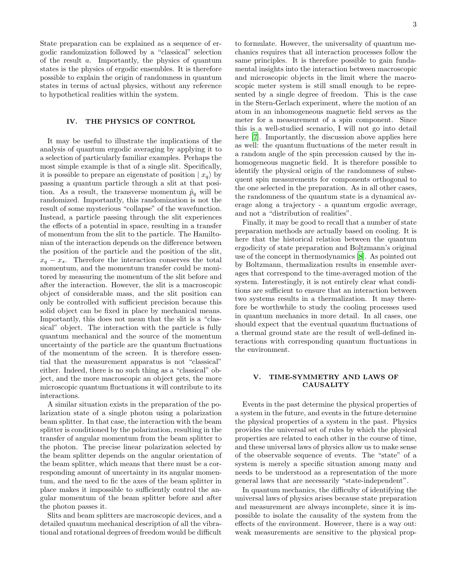State preparation can be explained as a sequence of ergodic randomization followed by a "classical" selection of the result a. Importantly, the physics of quantum states is the physics of ergodic ensembles. It is therefore possible to explain the origin of randomness in quantum states in terms of actual physics, without any reference to hypothetical realities within the system.

#### IV. THE PHYSICS OF CONTROL

It may be useful to illustrate the implications of the analysis of quantum ergodic averaging by applying it to a selection of particularly familiar examples. Perhaps the most simple example is that of a single slit. Specifically, it is possible to prepare an eigenstate of position  $|x_q\rangle$  by passing a quantum particle through a slit at that position. As a result, the transverse momentum  $\hat{p}_q$  will be randomized. Importantly, this randomization is not the result of some mysterious "collapse" of the wavefunction. Instead, a particle passing through the slit experiences the effects of a potential in space, resulting in a transfer of momentum from the slit to the particle. The Hamiltonian of the interaction depends on the difference between the position of the particle and the position of the slit,  $x_q - x_s$ . Therefore the interaction conserves the total momentum, and the momentum transfer could be monitored by measuring the momentum of the slit before and after the interaction. However, the slit is a macroscopic object of considerable mass, and the slit position can only be controlled with sufficient precision because this solid object can be fixed in place by mechanical means. Importantly, this does not mean that the slit is a "classical" object. The interaction with the particle is fully quantum mechanical and the source of the momentum uncertainty of the particle are the quantum fluctuations of the momentum of the screen. It is therefore essential that the measurement apparatus is not "classical" either. Indeed, there is no such thing as a "classical" object, and the more macroscopic an object gets, the more microscopic quantum fluctuations it will contribute to its interactions.

A similar situation exists in the preparation of the polarization state of a single photon using a polarization beam splitter. In that case, the interaction with the beam splitter is conditioned by the polarization, resulting in the transfer of angular momentum from the beam splitter to the photon. The precise linear polarization selected by the beam splitter depends on the angular orientation of the beam splitter, which means that there must be a corresponding amount of uncertainty in its angular momentum, and the need to fic the axes of the beam splitter in place makes it impossible to sufficiently control the angular momentum of the beam splitter before and after the photon passes it.

Slits and beam splitters are macroscopic devices, and a detailed quantum mechanical description of all the vibrational and rotational degrees of freedom would be difficult

to formulate. However, the universality of quantum mechanics requires that all interaction processes follow the same principles. It is therefore possible to gain fundamental insights into the interaction between macroscopic and microscopic objects in the limit where the macroscopic meter system is still small enough to be represented by a single degree of freedom. This is the case in the Stern-Gerlach experiment, where the motion of an atom in an inhomogeneous magnetic field serves as the meter for a measurement of a spin component. Since this is a well-studied scenario, I will not go into detail here [\[7\]](#page-5-6). Importantly, the discussion above applies here as well: the quantum fluctuations of the meter result in a random angle of the spin precession caused by the inhomogeneous magnetic field. It is therefore possible to identify the physical origin of the randomness of subsequent spin measurements for components orthogonal to the one selected in the preparation. As in all other cases, the randomness of the quantum state is a dynamical average along a trajectory - a quantum ergodic average, and not a "distribution of realities".

Finally, it may be good to recall that a number of state preparation methods are actually based on cooling. It is here that the historical relation between the quantum ergodicity of state preparation and Boltzmann's original use of the concept in thermodynamics [\[8\]](#page-5-7). As pointed out by Boltzmann, thermalization results in ensemble averages that correspond to the time-averaged motion of the system. Interestingly, it is not entirely clear what conditions are sufficient to ensure that an interaction between two systems results in a thermalization. It may therefore be worthwhile to study the cooling processes used in quantum mechanics in more detail. In all cases, one should expect that the eventual quantum fluctuations of a thermal ground state are the result of well-defined interactions with corresponding quantum fluctuations in the environment.

### V. TIME-SYMMETRY AND LAWS OF **CAUSALITY**

Events in the past determine the physical properties of a system in the future, and events in the future determine the physical properties of a system in the past. Physics provides the universal set of rules by which the physical properties are related to each other in the course of time, and these universal laws of physics allow us to make sense of the observable sequence of events. The "state" of a system is merely a specific situation among many and needs to be understood as a representation of the more general laws that are necessarily "state-independent".

In quantum mechanics, the difficulty of identifying the universal laws of physics arises because state preparation and measurement are always incomplete, since it is impossible to isolate the causality of the system from the effects of the environment. However, there is a way out: weak measurements are sensitive to the physical prop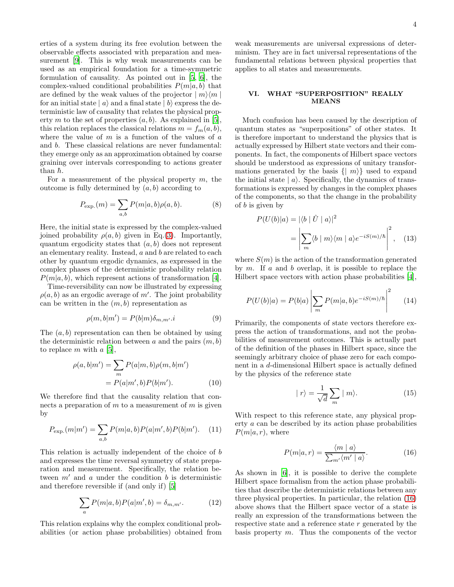erties of a system during its free evolution between the observable effects associated with preparation and measurement [\[9\]](#page-5-8). This is why weak measurements can be used as an empirical foundation for a time-symmetric formulation of causality. As pointed out in [\[5,](#page-5-5) [6\]](#page-5-4), the complex-valued conditional probabilities  $P(m|a, b)$  that are defined by the weak values of the projector  $|m\rangle\langle m|$ for an initial state  $|a\rangle$  and a final state  $|b\rangle$  express the deterministic law of causality that relates the physical property m to the set of properties  $(a, b)$ . As explained in [\[5\]](#page-5-5), this relation replaces the classical relations  $m = f_m(a, b)$ , where the value of  $m$  is a function of the values of  $a$ and b. These classical relations are never fundamental: they emerge only as an approximation obtained by coarse graining over intervals corresponding to actions greater than  $\hbar$ .

For a measurement of the physical property  $m$ , the outcome is fully determined by  $(a, b)$  according to

$$
P_{\exp.}(m) = \sum_{a,b} P(m|a,b)\rho(a,b).
$$
 (8)

Here, the initial state is expressed by the complex-valued joined probability  $\rho(a, b)$  given in Eq.[\(3\)](#page-1-2). Importantly, quantum ergodicity states that  $(a, b)$  does not represent an elementary reality. Instead,  $a$  and  $b$  are related to each other by quantum ergodic dynamics, as expressed in the complex phases of the deterministic probability relation  $P(m|a, b)$ , which represent actions of transformation [\[4\]](#page-5-3).

Time-reversibility can now be illustrated by expressing  $\rho(a, b)$  as an ergodic average of m'. The joint probability can be written in the  $(m, b)$  representation as

$$
\rho(m, b|m') = P(b|m)\delta_{m,m'}.i \tag{9}
$$

The  $(a, b)$  representation can then be obtained by using the deterministic relation between  $a$  and the pairs  $(m, b)$ to replace m with  $a \, [5]$  $a \, [5]$  $a \, [5]$ ,

$$
\rho(a,b|m') = \sum_{m} P(a|m,b)\rho(m,b|m')
$$

$$
= P(a|m',b)P(b|m'). \qquad (10)
$$

We therefore find that the causality relation that connects a preparation of  $m$  to a measurement of  $m$  is given by

$$
P_{\exp.}(m|m') = \sum_{a,b} P(m|a,b)P(a|m',b)P(b|m'). \quad (11)
$$

This relation is actually independent of the choice of b and expresses the time reversal symmetry of state preparation and measurement. Specifically, the relation between  $m'$  and a under the condition b is deterministic and therefore reversible if (and only if) [\[5](#page-5-5)]

$$
\sum_{a} P(m|a,b)P(a|m',b) = \delta_{m,m'}.\tag{12}
$$

This relation explains why the complex conditional probabilities (or action phase probabilities) obtained from

weak measurements are universal expressions of determinism. They are in fact universal representations of the fundamental relations between physical properties that applies to all states and measurements.

### VI. WHAT "SUPERPOSITION" REALLY MEANS

Much confusion has been caused by the description of quantum states as "superpositions" of other states. It is therefore important to understand the physics that is actually expressed by Hilbert state vectors and their components. In fact, the components of Hilbert space vectors should be understood as expressions of unitary transformations generated by the basis  $\{ | m \rangle \}$  used to expand the initial state  $|a\rangle$ . Specifically, the dynamics of transformations is expressed by changes in the complex phases of the components, so that the change in the probability of  $b$  is given by

$$
P(U(b)|a) = |\langle b | \hat{U} | a \rangle|^2
$$
  
= 
$$
\left| \sum_{m} \langle b | m \rangle \langle m | a \rangle e^{-iS(m)/\hbar} \right|^2
$$
, (13)

where  $S(m)$  is the action of the transformation generated by  $m$ . If  $a$  and  $b$  overlap, it is possible to replace the Hilbert space vectors with action phase probabilities [\[4\]](#page-5-3),

$$
P(U(b)|a) = P(b|a) \left| \sum_{m} P(m|a, b) e^{-iS(m)/\hbar} \right|^2 \tag{14}
$$

Primarily, the components of state vectors therefore express the action of transformations, and not the probabilities of measurement outcomes. This is actually part of the definition of the phases in Hilbert space, since the seemingly arbitrary choice of phase zero for each component in a d-dimensional Hilbert space is actually defined by the physics of the reference state

$$
|r\rangle = \frac{1}{\sqrt{d}} \sum_{m} |m\rangle. \tag{15}
$$

With respect to this reference state, any physical property a can be described by its action phase probabilities  $P(m|a, r)$ , where

<span id="page-3-0"></span>
$$
P(m|a,r) = \frac{\langle m \mid a \rangle}{\sum_{m'} \langle m' \mid a \rangle}.
$$
 (16)

As shown in [\[6](#page-5-4)], it is possible to derive the complete Hilbert space formalism from the action phase probabilities that describe the deterministic relations between any three physical properties. In particular, the relation [\(16\)](#page-3-0) above shows that the Hilbert space vector of a state is really an expression of the transformations between the respective state and a reference state r generated by the basis property  $m$ . Thus the components of the vector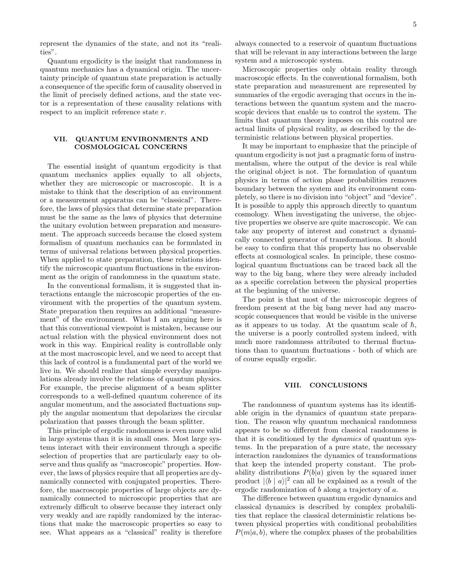represent the dynamics of the state, and not its "realities".

Quantum ergodicity is the insight that randomness in quantum mechanics has a dynamical origin. The uncertainty principle of quantum state preparation is actually a consequence of the specific form of causality observed in the limit of precisely defined actions, and the state vector is a representation of these causality relations with respect to an implicit reference state r.

#### VII. QUANTUM ENVIRONMENTS AND COSMOLOGICAL CONCERNS

The essential insight of quantum ergodicity is that quantum mechanics applies equally to all objects, whether they are microscopic or macroscopic. It is a mistake to think that the description of an environment or a measurement apparatus can be "classical". Therefore, the laws of physics that determine state preparation must be the same as the laws of physics that determine the unitary evolution between preparation and measurement. The approach succeeds because the closed system formalism of quantum mechanics can be formulated in terms of universal relations between physical properties. When applied to state preparation, these relations identify the microscopic quantum fluctuations in the environment as the origin of randomness in the quantum state.

In the conventional formalism, it is suggested that interactions entangle the microscopic properties of the environment with the properties of the quantum system. State preparation then requires an additional "measurement" of the environment. What I am arguing here is that this conventional viewpoint is mistaken, because our actual relation with the physical environment does not work in this way. Empirical reality is controllable only at the most macroscopic level, and we need to accept that this lack of control is a fundamental part of the world we live in. We should realize that simple everyday manipulations already involve the relations of quantum physics. For example, the precise alignment of a beam splitter corresponds to a well-defined quantum coherence of its angular momentum, and the associated fluctuations supply the angular momentum that depolarizes the circular polarization that passes through the beam splitter.

This principle of ergodic randomness is even more valid in large systems than it is in small ones. Most large systems interact with their environment through a specific selection of properties that are particularly easy to observe and thus qualify as "macroscopic" properties. However, the laws of physics require that all properties are dynamically connected with conjugated properties. Therefore, the macroscopic properties of large objects are dynamically connected to microscopic properties that are extremely difficult to observe because they interact only very weakly and are rapidly randomized by the interactions that make the macroscopic properties so easy to see. What appears as a "classical" reality is therefore always connected to a reservoir of quantum fluctuations that will be relevant in any interactions between the large system and a microscopic system.

Microscopic properties only obtain reality through macroscopic effects. In the conventional formalism, both state preparation and measurement are represented by summaries of the ergodic averaging that occurs in the interactions between the quantum system and the macroscopic devices that enable us to control the system. The limits that quantum theory imposes on this control are actual limits of physical reality, as described by the deterministic relations between physical properties.

It may be important to emphasize that the principle of quantum ergodicity is not just a pragmatic form of instrumentalism, where the output of the device is real while the original object is not. The formulation of quantum physics in terms of action phase probabilities removes boundary between the system and its environment completely, so there is no division into "object" and "device". It is possible to apply this approach directly to quantum cosmology. When investigating the universe, the objective properties we observe are quite macroscopic. We can take any property of interest and construct a dynamically connected generator of transformations. It should be easy to confirm that this property has no observable effects at cosmological scales. In principle, these cosmological quantum fluctuations can be traced back all the way to the big bang, where they were already included as a specific correlation between the physical properties at the beginning of the universe.

The point is that most of the microscopic degrees of freedom present at the big bang never had any macroscopic consequences that would be visible in the universe as it appears to us today. At the quantum scale of  $\hbar$ , the universe is a poorly controlled system indeed, with much more randomness attributed to thermal fluctuations than to quantum fluctuations - both of which are of course equally ergodic.

#### VIII. CONCLUSIONS

The randomness of quantum systems has its identifiable origin in the dynamics of quantum state preparation. The reason why quantum mechanical randomness appears to be so different from classical randomness is that it is conditioned by the dynamics of quantum systems. In the preparation of a pure state, the necessary interaction randomizes the dynamics of transformations that keep the intended property constant. The probability distributions  $P(b|a)$  given by the squared inner product  $|\langle b | a \rangle|^2$  can all be explained as a result of the ergodic randomization of b along a trajectory of a.

The difference between quantum ergodic dynamics and classical dynamics is described by complex probabilities that replace the classical deterministic relations between physical properties with conditional probabilities  $P(m|a, b)$ , where the complex phases of the probabilities